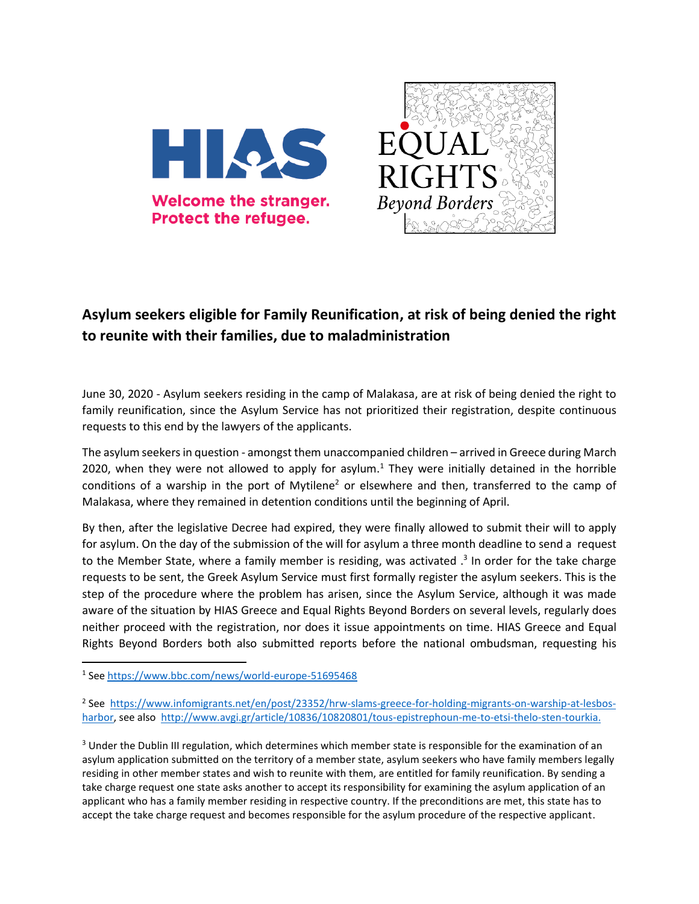



## **Asylum seekers eligible for Family Reunification, at risk of being denied the right to reunite with their families, due to maladministration**

June 30, 2020 - Asylum seekers residing in the camp of Malakasa, are at risk of being denied the right to family reunification, since the Asylum Service has not prioritized their registration, despite continuous requests to this end by the lawyers of the applicants.

The asylum seekers in question - amongst them unaccompanied children – arrived in Greece during March 2020, when they were not allowed to apply for asylum.<sup>1</sup> They were initially detained in the horrible conditions of a warship in the port of Mytilene<sup>2</sup> or elsewhere and then, transferred to the camp of Malakasa, where they remained in detention conditions until the beginning of April.

By then, after the legislative Decree had expired, they were finally allowed to submit their will to apply for asylum. On the day of the submission of the will for asylum a three month deadline to send a request to the Member State, where a family member is residing, was activated  $.3$  In order for the take charge requests to be sent, the Greek Asylum Service must first formally register the asylum seekers. This is the step of the procedure where the problem has arisen, since the Asylum Service, although it was made aware of the situation by HIAS Greece and Equal Rights Beyond Borders on several levels, regularly does neither proceed with the registration, nor does it issue appointments on time. HIAS Greece and Equal Rights Beyond Borders both also submitted reports before the national ombudsman, requesting his

 $\overline{a}$ 

<sup>2</sup> See [https://www.infomigrants.net/en/post/23352/hrw-slams-greece-for-holding-migrants-on-warship-at-lesbos](https://www.infomigrants.net/en/post/23352/hrw-slams-greece-for-holding-migrants-on-warship-at-lesbos-harbor)[harbor,](https://www.infomigrants.net/en/post/23352/hrw-slams-greece-for-holding-migrants-on-warship-at-lesbos-harbor) see also [http://www.avgi.gr/article/10836/10820801/tous-epistrephoun-me-to-etsi-thelo-sten-tourkia.](http://www.avgi.gr/article/10836/10820801/tous-epistrephoun-me-to-etsi-thelo-sten-tourkia)

<sup>3</sup> Under the Dublin III regulation, which determines which member state is responsible for the examination of an asylum application submitted on the territory of a member state, asylum seekers who have family members legally residing in other member states and wish to reunite with them, are entitled for family reunification. By sending a take charge request one state asks another to accept its responsibility for examining the asylum application of an applicant who has a family member residing in respective country. If the preconditions are met, this state has to accept the take charge request and becomes responsible for the asylum procedure of the respective applicant.

<sup>&</sup>lt;sup>1</sup> See <u><https://www.bbc.com/news/world-europe-51695468></u>